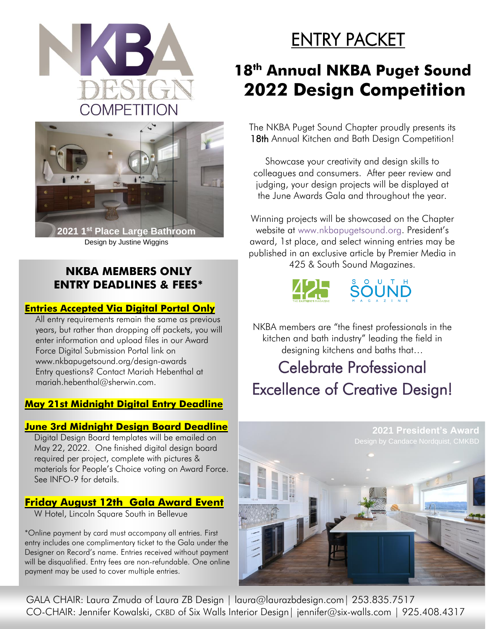



Design by Justine Wiggins

### **NKBA MEMBERS ONLY ENTRY DEADLINES & FEES\***

### **Entries Accepted Via Digital Portal Only**

All entry requirements remain the same as previous years, but rather than dropping off packets, you will enter information and upload files in our Award Force Digital Submission Portal link on [www.nkbapugetsound.org/design-awards](http://www.nkbapugetsound.org/design-awards) Entry questions? Contact Mariah Hebenthal at mariah.hebenthal@sherwin.com.

### **May 21st Midnight Digital Entry Deadline**

### **June 3rd Midnight Design Board Deadline**

Digital Design Board templates will be emailed on May 22, 2022. One finished digital design board required per project, complete with pictures & materials for People's Choice voting on Award Force. See INFO-9 for details.

### **Friday August 12th Gala Award Event**

W Hotel, Lincoln Square South in Bellevue

\*Online payment by card must accompany all entries. First entry includes one complimentary ticket to the Gala under the Designer on Record's name. Entries received without payment will be disqualified. Entry fees are non-refundable. One online payment may be used to cover multiple entries.

# ENTRY PACKET

## **18 th Annual NKBA Puget Sound 2022 Design Competition**

The NKBA Puget Sound Chapter proudly presents its 18th Annual Kitchen and Bath Design Competition!

Showcase your creativity and design skills to colleagues and consumers. After peer review and judging, your design projects will be displayed at the June Awards Gala and throughout the year.

Winning projects will be showcased on the Chapter website at [www.nkbapugetsound.org](http://www.nkbapugetsound.org/). President's award, 1st place, and select winning entries may be published in an exclusive article by Premier Media in 425 & South Sound Magazines.



NKBA members are "the finest professionals in the kitchen and bath industry" leading the field in designing kitchens and baths that...

## Celebrate Professional Excellence of Creative Design!



GALA CHAIR: Laura Zmuda of Laura ZB Design | [laura@laurazbdesign.com|](mailto:laura@laurazbdesign.com%7C) 253.835.7517 CO-CHAIR: Jennifer Kowalski, CKBD of Six Walls Interior Design| [jennifer@six-walls.com](mailto:jennifer@six-walls.com) | 925.408.4317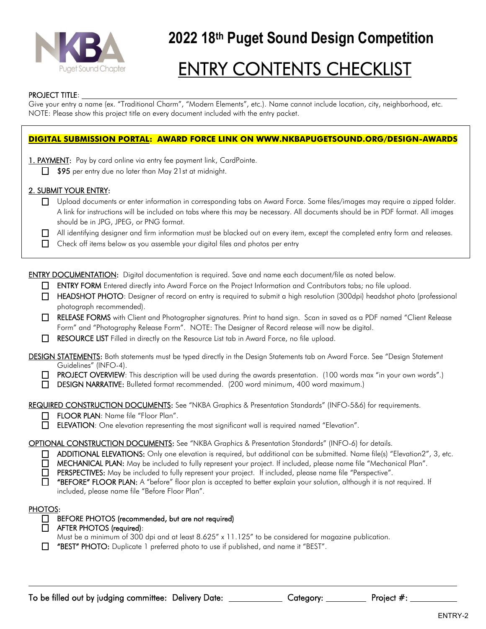

# ENTRY CONTENTS CHECKLIST

#### PROJECT TITLE:

Give your entry a name (ex. "Traditional Charm", "Modern Elements", etc.). Name cannot include location, city, neighborhood, etc. NOTE: Please show this project title on every document included with the entry packet.

#### **DIGITAL SUBMISSION PORTAL: AWARD FORCE LINK ON [WWW.NKBAPUGETSOUND.ORG/DESIGN-AWARDS](file:///C:/Users/ktkru_000/Documents/NKBA/2022/2022%20Design%20Competition%20Entry%20Packet/www.nkbapugetsound.org/design-awards)**

1. PAYMENT: Pay by card online via entry fee payment link, CardPointe.

 $\Box$  \$95 per entry due no later than May 21st at midnight.

#### 2. SUBMIT YOUR ENTRY:

 Upload documents or enter information in corresponding tabs on Award Force. Some files/images may require a zipped folder. A link for instructions will be included on tabs where this may be necessary. All documents should be in PDF format. All images should be in JPG, JPEG, or PNG format.

All identifying designer and firm information must be blacked out on every item, except the completed entry form and releases.

 $\Box$  Check off items below as you assemble your digital files and photos per entry

ENTRY DOCUMENTATION: Digital documentation is required. Save and name each document/file as noted below.

- ENTRY FORM Entered directly into Award Force on the Project Information and Contributors tabs; no file upload.
- HEADSHOT PHOTO: Designer of record on entry is required to submit a high resolution (300dpi) headshot photo (professional photograph recommended).
- RELEASE FORMS with Client and Photographer signatures. Print to hand sign. Scan in saved as a PDF named "Client Release Form" and "Photography Release Form". NOTE: The Designer of Record release will now be digital.
- RESOURCE LIST Filled in directly on the Resource List tab in Award Force, no file upload.

DESIGN STATEMENTS: Both statements must be typed directly in the Design Statements tab on Award Force. See "Design Statement Guidelines" (INFO-4).

- PROJECT OVERVIEW: This description will be used during the awards presentation. (100 words max "in your own words".)
- DESIGN NARRATIVE: Bulleted format recommended. (200 word minimum, 400 word maximum.)

REQUIRED CONSTRUCTION DOCUMENTS: See "NKBA Graphics & Presentation Standards" (INFO-5&6) for requirements.

- FLOOR PLAN: Name file "Floor Plan".
- ELEVATION: One elevation representing the most significant wall is required named "Elevation".

#### OPTIONAL CONSTRUCTION DOCUMENTS: See "NKBA Graphics & Presentation Standards" (INFO-6) for details.

- □ ADDITIONAL ELEVATIONS: Only one elevation is required, but additional can be submitted. Name file(s) "Elevation2", 3, etc.
- MECHANICAL PLAN: May be included to fully represent your project. If included, please name file "Mechanical Plan".
- PERSPECTIVES: May be included to fully represent your project. If included, please name file "Perspective".

**T** "BEFORE" FLOOR PLAN: A "before" floor plan is accepted to better explain your solution, although it is not required. If included, please name file "Before Floor Plan".

#### PHOTOS:

- □ BEFORE PHOTOS (recommended, but are not required)
- AFTER PHOTOS (required):
	- Must be a minimum of 300 dpi and at least 8.625" x 11.125" to be considered for magazine publication.
- **T** "BEST" PHOTO: Duplicate 1 preferred photo to use if published, and name it "BEST".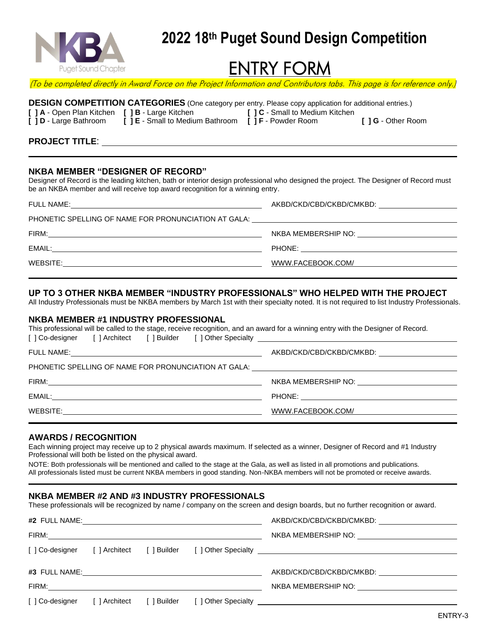

## ENTRY FORM

(To be completed directly in Award Force on the Project Information and Contributors tabs. This page is for reference only.)

|                                                 | <b>DESIGN COMPETITION CATEGORIES</b> (One category per entry. Please copy application for additional entries.) |                                        |                          |
|-------------------------------------------------|----------------------------------------------------------------------------------------------------------------|----------------------------------------|--------------------------|
| [ ] A - Open Plan Kitchen [ ] B - Large Kitchen |                                                                                                                | <b>I 1 C</b> - Small to Medium Kitchen |                          |
| <b>[ ] D</b> - Large Bathroom                   | [ ] E - Small to Medium Bathroom [ ] F - Powder Room                                                           |                                        | <b>I</b> 1G - Other Room |

#### **PROJECT TITLE**:

#### **NKBA MEMBER "DESIGNER OF RECORD"**

Designer of Record is the leading kitchen, bath or interior design professional who designed the project. The Designer of Record must be an NKBA member and will receive top award recognition for a winning entry.

| <b>FULL NAME:</b>                                                                 | AKBD/CKD/CBD/CKBD/CMKBD:                  |
|-----------------------------------------------------------------------------------|-------------------------------------------|
| PHONETIC SPELLING OF NAME FOR PRONUNCIATION AT GALA: ____________________________ |                                           |
| FIRM:                                                                             | NKBA MEMBERSHIP NO: <u>______________</u> |
| EMAIL:                                                                            |                                           |
| WEBSITE:                                                                          | WWW.FACEBOOK.COM/                         |
|                                                                                   |                                           |

#### **UP TO 3 OTHER NKBA MEMBER "INDUSTRY PROFESSIONALS" WHO HELPED WITH THE PROJECT**

All Industry Professionals must be NKBA members by March 1st with their specialty noted. It is not required to list Industry Professionals.

#### **NKBA MEMBER #1 INDUSTRY PROFESSIONAL**

| This professional will be called to the stage, receive recognition, and an award for a winning entry with the Designer of Record.<br>[] Co-designer [] Architect [] Builder [] Other Specialty [199] Co-designer [2014] [199] Co-designer [2014] [199] [199] [199] [199] [199] [199] [199] [199] [199] [199] [199] [199] [199] [199] [199] [199] [199] [199] [199] |                                                    |
|--------------------------------------------------------------------------------------------------------------------------------------------------------------------------------------------------------------------------------------------------------------------------------------------------------------------------------------------------------------------|----------------------------------------------------|
|                                                                                                                                                                                                                                                                                                                                                                    |                                                    |
| PHONETIC SPELLING OF NAME FOR PRONUNCIATION AT GALA: ____________________________                                                                                                                                                                                                                                                                                  |                                                    |
|                                                                                                                                                                                                                                                                                                                                                                    | NKBA MEMBERSHIP NO: University Property ASSESSMENT |
|                                                                                                                                                                                                                                                                                                                                                                    |                                                    |
|                                                                                                                                                                                                                                                                                                                                                                    | WWW.FACEBOOK.COM/                                  |
|                                                                                                                                                                                                                                                                                                                                                                    |                                                    |

#### **AWARDS / RECOGNITION**

Each winning project may receive up to 2 physical awards maximum. If selected as a winner, Designer of Record and #1 Industry Professional will both be listed on the physical award.

NOTE: Both professionals will be mentioned and called to the stage at the Gala, as well as listed in all promotions and publications. All professionals listed must be current NKBA members in good standing. Non-NKBA members will not be promoted or receive awards.

#### **NKBA MEMBER #2 AND #3 INDUSTRY PROFESSIONALS**

These professionals will be recognized by name / company on the screen and design boards, but no further recognition or award.

|  |  | AKBD/CKD/CBD/CKBD/CMKBD:                                                                                                                                                                                                                                   |
|--|--|------------------------------------------------------------------------------------------------------------------------------------------------------------------------------------------------------------------------------------------------------------|
|  |  | NKBA MEMBERSHIP NO: University Property ASSESSMENT                                                                                                                                                                                                         |
|  |  |                                                                                                                                                                                                                                                            |
|  |  |                                                                                                                                                                                                                                                            |
|  |  | AKBD/CKD/CBD/CKBD/CMKBD:<br>NKBA MEMBERSHIP NO: UNIVERSITY OF THE STATE STATE STATE STATE STATE STATE STATE STATE STATE STATE STATE STATE STATE STATE STATE STATE STATE STATE STATE STATE STATE STATE STATE STATE STATE STATE STATE STATE STATE STATE STAT |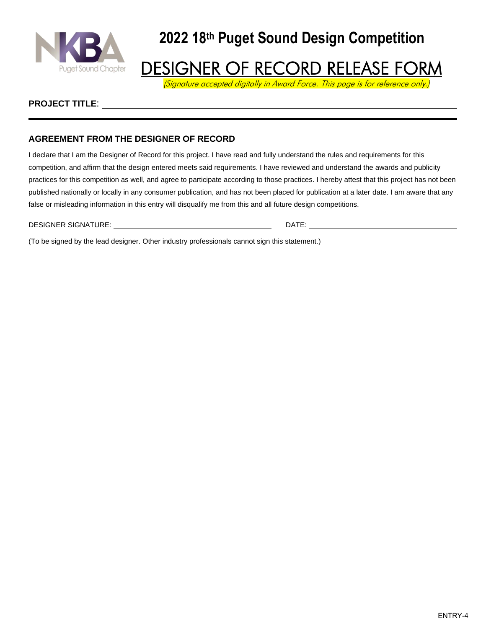

### **DESIGNER OF RECORD RELEASE FORM**

(Signature accepted digitally in Award Force. This page is for reference only.)

#### **PROJECT TITLE**:

#### **AGREEMENT FROM THE DESIGNER OF RECORD**

I declare that I am the Designer of Record for this project. I have read and fully understand the rules and requirements for this competition, and affirm that the design entered meets said requirements. I have reviewed and understand the awards and publicity practices for this competition as well, and agree to participate according to those practices. I hereby attest that this project has not been published nationally or locally in any consumer publication, and has not been placed for publication at a later date. I am aware that any false or misleading information in this entry will disqualify me from this and all future design competitions.

DESIGNER SIGNATURE: DATE: DATE: DATE: DATE: DATE: DATE: DATE: DATE: DATE: DATE: DATE: DATE: DATE: DATE: DATE: DATE: DATE: DATE: DATE: DATE: DATE: DATE: DATE: DATE: DATE: DATE: DATE: DATE: DATE: DATE: DATE: DATE: DATE: DATE

(To be signed by the lead designer. Other industry professionals cannot sign this statement.)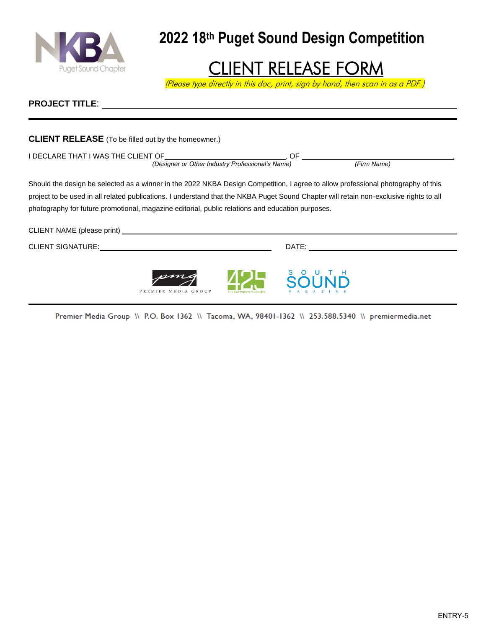

## CLIENT RELEASE FORM

(Please type directly in this doc, print, sign by hand, then scan in as a PDF.)

#### **PROJECT TITLE**:

| <b>CLIENT RELEASE</b> (To be filled out by the homeowner.)                                                                                                                                                                                                                                                                                                                     |                     |              |                            |
|--------------------------------------------------------------------------------------------------------------------------------------------------------------------------------------------------------------------------------------------------------------------------------------------------------------------------------------------------------------------------------|---------------------|--------------|----------------------------|
| I DECLARE THAT I WAS THE CLIENT OF (Designer or Other Industry Professional's Name) (F (Firm Name)                                                                                                                                                                                                                                                                             |                     |              | $\sqrt{F\text{i}rm}$ Name) |
| Should the design be selected as a winner in the 2022 NKBA Design Competition, I agree to allow professional photography of this<br>project to be used in all related publications. I understand that the NKBA Puget Sound Chapter will retain non-exclusive rights to all<br>photography for future promotional, magazine editorial, public relations and education purposes. |                     |              |                            |
|                                                                                                                                                                                                                                                                                                                                                                                |                     |              |                            |
|                                                                                                                                                                                                                                                                                                                                                                                |                     |              |                            |
|                                                                                                                                                                                                                                                                                                                                                                                | PREMIER MEDIA GROUP | <b>ŠŐŮNĎ</b> |                            |

Premier Media Group \\ P.O. Box 1362 \\ Tacoma, WA, 98401-1362 \\ 253.588.5340 \\ premiermedia.net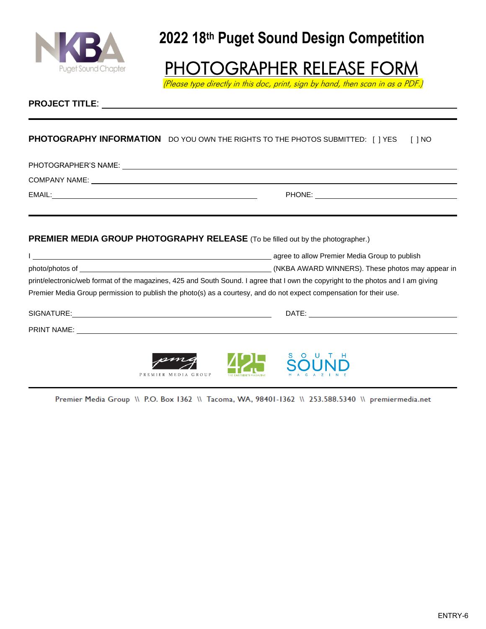

## PHOTOGRAPHER RELEASE FORM

(Please type directly in this doc, print, sign by hand, then scan in as a PDF.)

#### **PROJECT TITLE**:

#### **PHOTOGRAPHY INFORMATION** DO YOU OWN THE RIGHTS TO THE PHOTOS SUBMITTED: [ ] YES [ ] NO

PHOTOGRAPHER'S NAME:

COMPANY NAME:

EMAIL: PHONE:

#### **PREMIER MEDIA GROUP PHOTOGRAPHY RELEASE** (To be filled out by the photographer.)

|                                                                                                                                   | agree to allow Premier Media Group to publish    |
|-----------------------------------------------------------------------------------------------------------------------------------|--------------------------------------------------|
| photo/photos of                                                                                                                   | (NKBA AWARD WINNERS). These photos may appear in |
| print/electronic/web format of the magazines, 425 and South Sound. I agree that I own the copyright to the photos and I am giving |                                                  |
| Premier Media Group permission to publish the photo(s) as a courtesy, and do not expect compensation for their use.               |                                                  |
|                                                                                                                                   |                                                  |

SIGNATURE: DATE:

PRINT NAME:

PREM MEDIA GROUP



Premier Media Group \\ P.O. Box 1362 \\ Tacoma, WA, 98401-1362 \\ 253.588.5340 \\ premiermedia.net